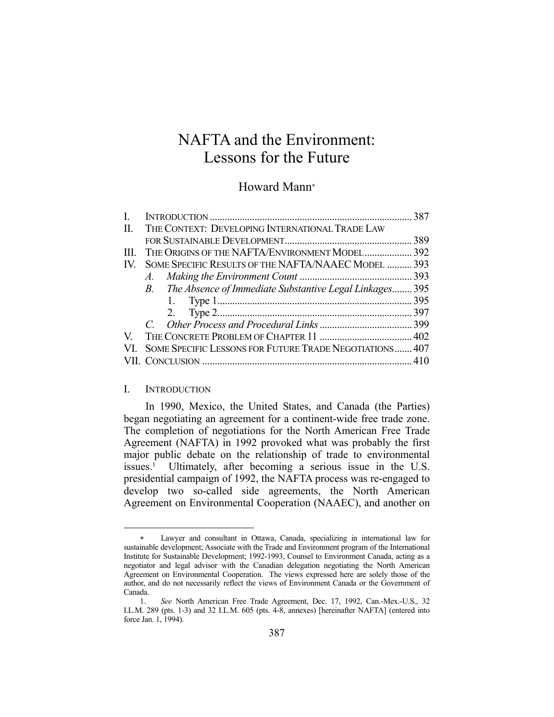# NAFTA and the Environment: Lessons for the Future

## Howard Mann

| L.  |                                                            | 387 |
|-----|------------------------------------------------------------|-----|
| П.  | THE CONTEXT: DEVELOPING INTERNATIONAL TRADE LAW            |     |
|     |                                                            | 389 |
| Ш.  | THE ORIGINS OF THE NAFTA/ENVIRONMENT MODEL 392             |     |
| IV. | SOME SPECIFIC RESULTS OF THE NAFTA/NAAEC MODEL  393        |     |
|     |                                                            |     |
|     | B. The Absence of Immediate Substantive Legal Linkages 395 |     |
|     |                                                            |     |
|     |                                                            |     |
|     |                                                            |     |
|     |                                                            |     |
| VI. | SOME SPECIFIC LESSONS FOR FUTURE TRADE NEGOTIATIONS 407    |     |
|     |                                                            |     |

## I. INTRODUCTION

1

 In 1990, Mexico, the United States, and Canada (the Parties) began negotiating an agreement for a continent-wide free trade zone. The completion of negotiations for the North American Free Trade Agreement (NAFTA) in 1992 provoked what was probably the first major public debate on the relationship of trade to environmental  $i$ ssues.<sup>1</sup> Ultimately, after becoming a serious issue in the U.S. presidential campaign of 1992, the NAFTA process was re-engaged to develop two so-called side agreements, the North American Agreement on Environmental Cooperation (NAAEC), and another on

Lawyer and consultant in Ottawa, Canada, specializing in international law for sustainable development; Associate with the Trade and Environment program of the International Institute for Sustainable Development; 1992-1993, Counsel to Environment Canada, acting as a negotiator and legal advisor with the Canadian delegation negotiating the North American Agreement on Environmental Cooperation. The views expressed here are solely those of the author, and do not necessarily reflect the views of Environment Canada or the Government of Canada.

 <sup>1.</sup> *See* North American Free Trade Agreement, Dec. 17, 1992, Can.-Mex.-U.S., 32 I.L.M. 289 (pts. 1-3) and 32 I.L.M. 605 (pts. 4-8, annexes) [hereinafter NAFTA] (entered into force Jan. 1, 1994).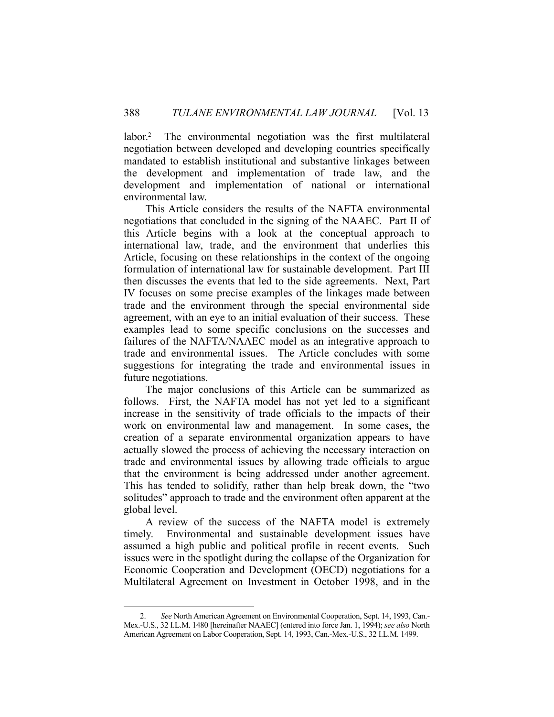labor.<sup>2</sup> The environmental negotiation was the first multilateral negotiation between developed and developing countries specifically mandated to establish institutional and substantive linkages between the development and implementation of trade law, and the development and implementation of national or international environmental law.

 This Article considers the results of the NAFTA environmental negotiations that concluded in the signing of the NAAEC. Part II of this Article begins with a look at the conceptual approach to international law, trade, and the environment that underlies this Article, focusing on these relationships in the context of the ongoing formulation of international law for sustainable development. Part III then discusses the events that led to the side agreements. Next, Part IV focuses on some precise examples of the linkages made between trade and the environment through the special environmental side agreement, with an eye to an initial evaluation of their success. These examples lead to some specific conclusions on the successes and failures of the NAFTA/NAAEC model as an integrative approach to trade and environmental issues. The Article concludes with some suggestions for integrating the trade and environmental issues in future negotiations.

 The major conclusions of this Article can be summarized as follows. First, the NAFTA model has not yet led to a significant increase in the sensitivity of trade officials to the impacts of their work on environmental law and management. In some cases, the creation of a separate environmental organization appears to have actually slowed the process of achieving the necessary interaction on trade and environmental issues by allowing trade officials to argue that the environment is being addressed under another agreement. This has tended to solidify, rather than help break down, the "two solitudes" approach to trade and the environment often apparent at the global level.

 A review of the success of the NAFTA model is extremely timely. Environmental and sustainable development issues have assumed a high public and political profile in recent events. Such issues were in the spotlight during the collapse of the Organization for Economic Cooperation and Development (OECD) negotiations for a Multilateral Agreement on Investment in October 1998, and in the

 <sup>2.</sup> *See* North American Agreement on Environmental Cooperation, Sept. 14, 1993, Can.- Mex.-U.S., 32 I.L.M. 1480 [hereinafter NAAEC] (entered into force Jan. 1, 1994); *see also* North American Agreement on Labor Cooperation, Sept. 14, 1993, Can.-Mex.-U.S., 32 I.L.M. 1499.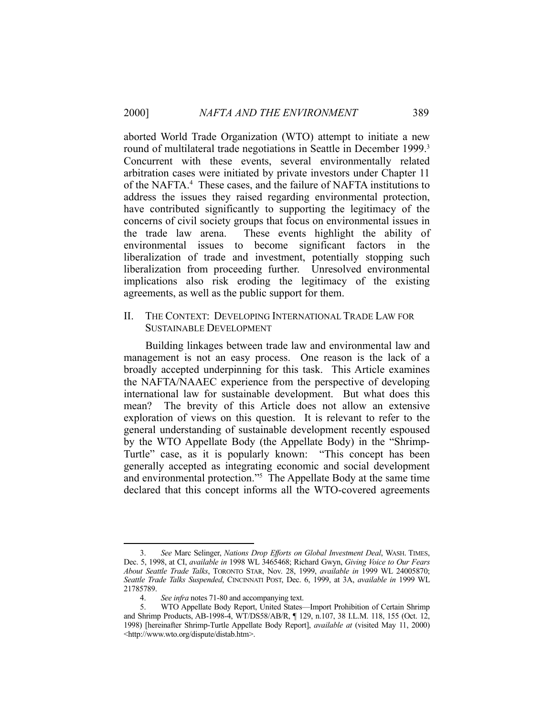aborted World Trade Organization (WTO) attempt to initiate a new round of multilateral trade negotiations in Seattle in December 1999.<sup>3</sup> Concurrent with these events, several environmentally related arbitration cases were initiated by private investors under Chapter 11 of the NAFTA.<sup>4</sup> These cases, and the failure of NAFTA institutions to address the issues they raised regarding environmental protection, have contributed significantly to supporting the legitimacy of the concerns of civil society groups that focus on environmental issues in the trade law arena. These events highlight the ability of environmental issues to become significant factors in the liberalization of trade and investment, potentially stopping such liberalization from proceeding further. Unresolved environmental implications also risk eroding the legitimacy of the existing agreements, as well as the public support for them.

# II. THE CONTEXT: DEVELOPING INTERNATIONAL TRADE LAW FOR SUSTAINABLE DEVELOPMENT

 Building linkages between trade law and environmental law and management is not an easy process. One reason is the lack of a broadly accepted underpinning for this task. This Article examines the NAFTA/NAAEC experience from the perspective of developing international law for sustainable development. But what does this mean? The brevity of this Article does not allow an extensive exploration of views on this question. It is relevant to refer to the general understanding of sustainable development recently espoused by the WTO Appellate Body (the Appellate Body) in the "Shrimp-Turtle" case, as it is popularly known: "This concept has been generally accepted as integrating economic and social development and environmental protection."5 The Appellate Body at the same time declared that this concept informs all the WTO-covered agreements

 <sup>3.</sup> *See* Marc Selinger, *Nations Drop Efforts on Global Investment Deal*, WASH. TIMES, Dec. 5, 1998, at CI, *available in* 1998 WL 3465468; Richard Gwyn, *Giving Voice to Our Fears About Seattle Trade Talks*, TORONTO STAR, Nov. 28, 1999, *available in* 1999 WL 24005870; *Seattle Trade Talks Suspended*, CINCINNATI POST, Dec. 6, 1999, at 3A, *available in* 1999 WL 21785789.

 <sup>4.</sup> *See infra* notes 71-80 and accompanying text.

 <sup>5.</sup> WTO Appellate Body Report, United States—Import Prohibition of Certain Shrimp and Shrimp Products, AB-1998-4, WT/DS58/AB/R, ¶ 129, n.107, 38 I.L.M. 118, 155 (Oct. 12, 1998) [hereinafter Shrimp-Turtle Appellate Body Report], *available at* (visited May 11, 2000) <http://www.wto.org/dispute/distab.htm>.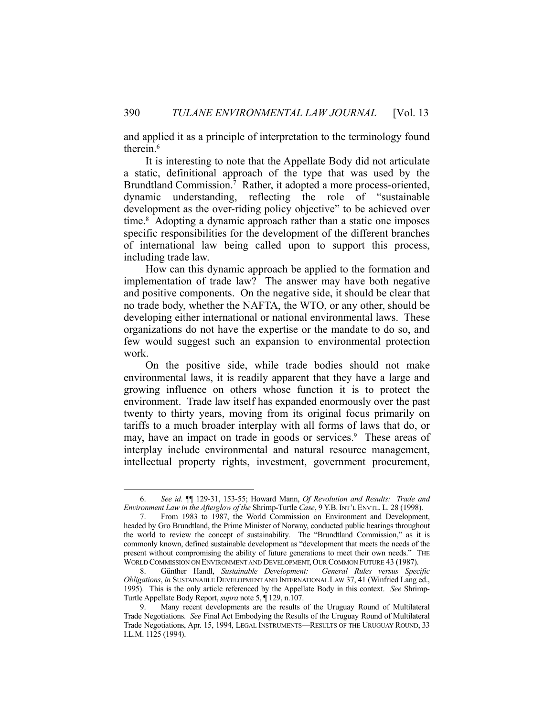and applied it as a principle of interpretation to the terminology found therein.<sup>6</sup>

 It is interesting to note that the Appellate Body did not articulate a static, definitional approach of the type that was used by the Brundtland Commission.<sup>7</sup> Rather, it adopted a more process-oriented, dynamic understanding, reflecting the role of "sustainable development as the over-riding policy objective" to be achieved over time.<sup>8</sup> Adopting a dynamic approach rather than a static one imposes specific responsibilities for the development of the different branches of international law being called upon to support this process, including trade law.

 How can this dynamic approach be applied to the formation and implementation of trade law? The answer may have both negative and positive components. On the negative side, it should be clear that no trade body, whether the NAFTA, the WTO, or any other, should be developing either international or national environmental laws. These organizations do not have the expertise or the mandate to do so, and few would suggest such an expansion to environmental protection work.

 On the positive side, while trade bodies should not make environmental laws, it is readily apparent that they have a large and growing influence on others whose function it is to protect the environment. Trade law itself has expanded enormously over the past twenty to thirty years, moving from its original focus primarily on tariffs to a much broader interplay with all forms of laws that do, or may, have an impact on trade in goods or services.<sup>9</sup> These areas of interplay include environmental and natural resource management, intellectual property rights, investment, government procurement,

 <sup>6.</sup> *See id.* ¶¶ 129-31, 153-55; Howard Mann, *Of Revolution and Results: Trade and Environment Law in the Afterglow of the* Shrimp-Turtle *Case*, 9 Y.B.INT'L ENVTL. L. 28 (1998).

 <sup>7.</sup> From 1983 to 1987, the World Commission on Environment and Development, headed by Gro Brundtland, the Prime Minister of Norway, conducted public hearings throughout the world to review the concept of sustainability. The "Brundtland Commission," as it is commonly known, defined sustainable development as "development that meets the needs of the present without compromising the ability of future generations to meet their own needs." THE WORLD COMMISSION ON ENVIRONMENT AND DEVELOPMENT, OUR COMMON FUTURE 43 (1987).

 <sup>8.</sup> Günther Handl, *Sustainable Development: General Rules versus Specific Obligations*, *in* SUSTAINABLE DEVELOPMENT AND INTERNATIONAL LAW 37, 41 (Winfried Lang ed., 1995). This is the only article referenced by the Appellate Body in this context. *See* Shrimp-Turtle Appellate Body Report, *supra* note 5, ¶ 129, n.107.

Many recent developments are the results of the Uruguay Round of Multilateral Trade Negotiations. *See* Final Act Embodying the Results of the Uruguay Round of Multilateral Trade Negotiations, Apr. 15, 1994, LEGAL INSTRUMENTS—RESULTS OF THE URUGUAY ROUND, 33 I.L.M. 1125 (1994).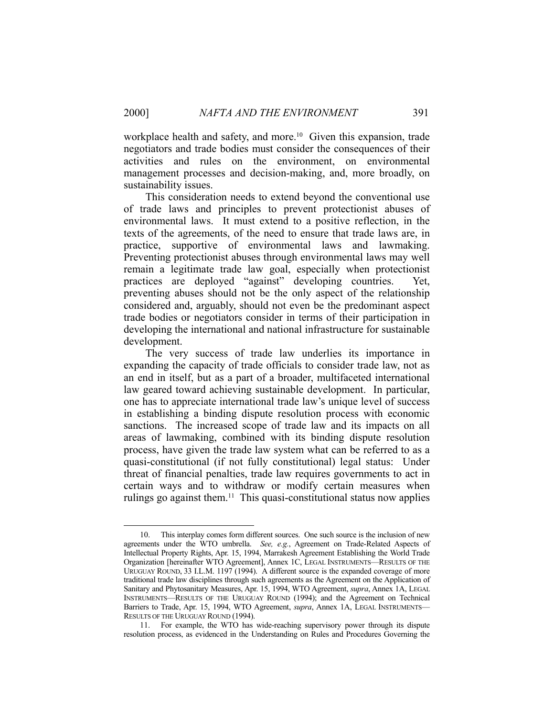workplace health and safety, and more.<sup>10</sup> Given this expansion, trade negotiators and trade bodies must consider the consequences of their activities and rules on the environment, on environmental management processes and decision-making, and, more broadly, on sustainability issues.

 This consideration needs to extend beyond the conventional use of trade laws and principles to prevent protectionist abuses of environmental laws. It must extend to a positive reflection, in the texts of the agreements, of the need to ensure that trade laws are, in practice, supportive of environmental laws and lawmaking. Preventing protectionist abuses through environmental laws may well remain a legitimate trade law goal, especially when protectionist practices are deployed "against" developing countries. Yet, preventing abuses should not be the only aspect of the relationship considered and, arguably, should not even be the predominant aspect trade bodies or negotiators consider in terms of their participation in developing the international and national infrastructure for sustainable development.

 The very success of trade law underlies its importance in expanding the capacity of trade officials to consider trade law, not as an end in itself, but as a part of a broader, multifaceted international law geared toward achieving sustainable development. In particular, one has to appreciate international trade law's unique level of success in establishing a binding dispute resolution process with economic sanctions. The increased scope of trade law and its impacts on all areas of lawmaking, combined with its binding dispute resolution process, have given the trade law system what can be referred to as a quasi-constitutional (if not fully constitutional) legal status: Under threat of financial penalties, trade law requires governments to act in certain ways and to withdraw or modify certain measures when rulings go against them.<sup>11</sup> This quasi-constitutional status now applies

 <sup>10.</sup> This interplay comes form different sources. One such source is the inclusion of new agreements under the WTO umbrella. *See, e.g.*, Agreement on Trade-Related Aspects of Intellectual Property Rights, Apr. 15, 1994, Marrakesh Agreement Establishing the World Trade Organization [hereinafter WTO Agreement], Annex 1C, LEGAL INSTRUMENTS—RESULTS OF THE URUGUAY ROUND, 33 I.L.M. 1197 (1994). A different source is the expanded coverage of more traditional trade law disciplines through such agreements as the Agreement on the Application of Sanitary and Phytosanitary Measures, Apr. 15, 1994, WTO Agreement, *supra*, Annex 1A, LEGAL INSTRUMENTS—RESULTS OF THE URUGUAY ROUND (1994); and the Agreement on Technical Barriers to Trade, Apr. 15, 1994, WTO Agreement, *supra*, Annex 1A, LEGAL INSTRUMENTS— RESULTS OF THE URUGUAY ROUND (1994).

 <sup>11.</sup> For example, the WTO has wide-reaching supervisory power through its dispute resolution process, as evidenced in the Understanding on Rules and Procedures Governing the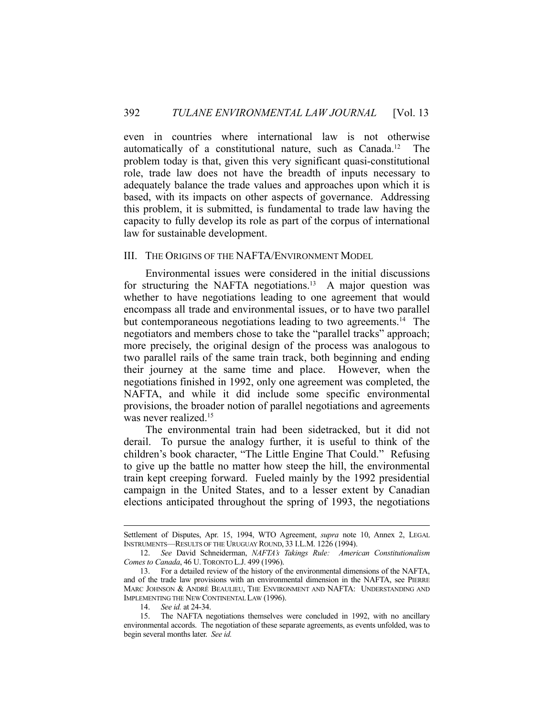even in countries where international law is not otherwise automatically of a constitutional nature, such as Canada.12 The problem today is that, given this very significant quasi-constitutional role, trade law does not have the breadth of inputs necessary to adequately balance the trade values and approaches upon which it is based, with its impacts on other aspects of governance. Addressing this problem, it is submitted, is fundamental to trade law having the capacity to fully develop its role as part of the corpus of international law for sustainable development.

#### III. THE ORIGINS OF THE NAFTA/ENVIRONMENT MODEL

 Environmental issues were considered in the initial discussions for structuring the NAFTA negotiations.<sup>13</sup> A major question was whether to have negotiations leading to one agreement that would encompass all trade and environmental issues, or to have two parallel but contemporaneous negotiations leading to two agreements.<sup>14</sup> The negotiators and members chose to take the "parallel tracks" approach; more precisely, the original design of the process was analogous to two parallel rails of the same train track, both beginning and ending their journey at the same time and place. However, when the negotiations finished in 1992, only one agreement was completed, the NAFTA, and while it did include some specific environmental provisions, the broader notion of parallel negotiations and agreements was never realized.<sup>15</sup>

 The environmental train had been sidetracked, but it did not derail. To pursue the analogy further, it is useful to think of the children's book character, "The Little Engine That Could." Refusing to give up the battle no matter how steep the hill, the environmental train kept creeping forward. Fueled mainly by the 1992 presidential campaign in the United States, and to a lesser extent by Canadian elections anticipated throughout the spring of 1993, the negotiations

Settlement of Disputes, Apr. 15, 1994, WTO Agreement, *supra* note 10, Annex 2, LEGAL INSTRUMENTS—RESULTS OF THE URUGUAY ROUND, 33 I.L.M. 1226 (1994).

 <sup>12.</sup> *See* David Schneiderman, *NAFTA's Takings Rule: American Constitutionalism Comes to Canada*, 46 U. TORONTO L.J. 499 (1996).

 <sup>13.</sup> For a detailed review of the history of the environmental dimensions of the NAFTA, and of the trade law provisions with an environmental dimension in the NAFTA, see PIERRE MARC JOHNSON & ANDRÉ BEAULIEU, THE ENVIRONMENT AND NAFTA: UNDERSTANDING AND IMPLEMENTING THE NEW CONTINENTAL LAW (1996).

 <sup>14.</sup> *See id.* at 24-34.

 <sup>15.</sup> The NAFTA negotiations themselves were concluded in 1992, with no ancillary environmental accords. The negotiation of these separate agreements, as events unfolded, was to begin several months later. *See id.*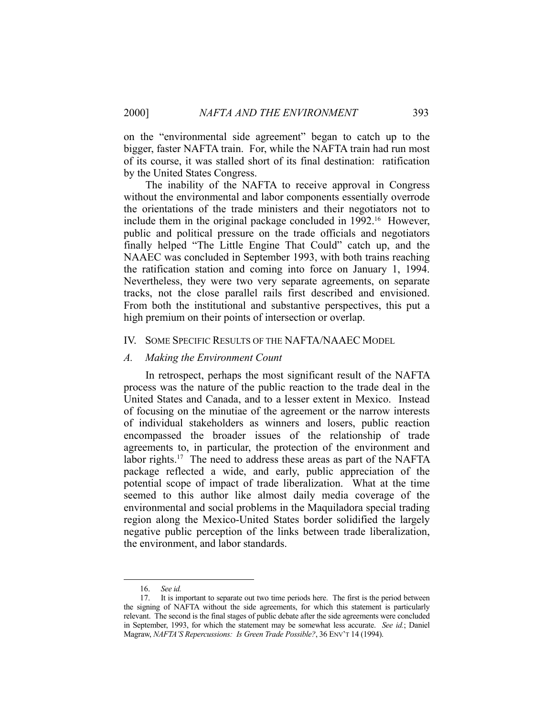on the "environmental side agreement" began to catch up to the bigger, faster NAFTA train. For, while the NAFTA train had run most of its course, it was stalled short of its final destination: ratification by the United States Congress.

 The inability of the NAFTA to receive approval in Congress without the environmental and labor components essentially overrode the orientations of the trade ministers and their negotiators not to include them in the original package concluded in 1992.<sup>16</sup> However, public and political pressure on the trade officials and negotiators finally helped "The Little Engine That Could" catch up, and the NAAEC was concluded in September 1993, with both trains reaching the ratification station and coming into force on January 1, 1994. Nevertheless, they were two very separate agreements, on separate tracks, not the close parallel rails first described and envisioned. From both the institutional and substantive perspectives, this put a high premium on their points of intersection or overlap.

## IV. SOME SPECIFIC RESULTS OF THE NAFTA/NAAEC MODEL

#### *A. Making the Environment Count*

 In retrospect, perhaps the most significant result of the NAFTA process was the nature of the public reaction to the trade deal in the United States and Canada, and to a lesser extent in Mexico. Instead of focusing on the minutiae of the agreement or the narrow interests of individual stakeholders as winners and losers, public reaction encompassed the broader issues of the relationship of trade agreements to, in particular, the protection of the environment and labor rights.<sup>17</sup> The need to address these areas as part of the NAFTA package reflected a wide, and early, public appreciation of the potential scope of impact of trade liberalization. What at the time seemed to this author like almost daily media coverage of the environmental and social problems in the Maquiladora special trading region along the Mexico-United States border solidified the largely negative public perception of the links between trade liberalization, the environment, and labor standards.

<u>.</u>

 <sup>16.</sup> *See id.*

 <sup>17.</sup> It is important to separate out two time periods here. The first is the period between the signing of NAFTA without the side agreements, for which this statement is particularly relevant. The second is the final stages of public debate after the side agreements were concluded in September, 1993, for which the statement may be somewhat less accurate. *See id.*; Daniel Magraw, *NAFTA'S Repercussions: Is Green Trade Possible?*, 36 ENV'T 14 (1994).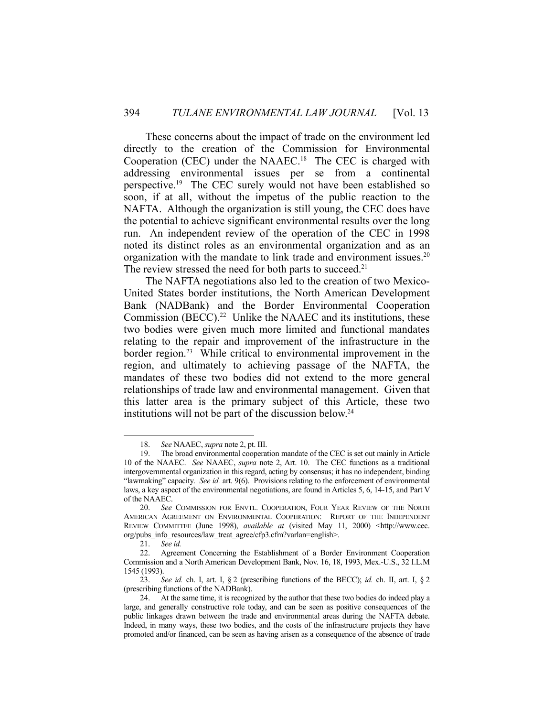These concerns about the impact of trade on the environment led directly to the creation of the Commission for Environmental Cooperation (CEC) under the NAAEC.18 The CEC is charged with addressing environmental issues per se from a continental perspective.19 The CEC surely would not have been established so soon, if at all, without the impetus of the public reaction to the NAFTA. Although the organization is still young, the CEC does have the potential to achieve significant environmental results over the long run. An independent review of the operation of the CEC in 1998 noted its distinct roles as an environmental organization and as an organization with the mandate to link trade and environment issues.<sup>20</sup> The review stressed the need for both parts to succeed.<sup>21</sup>

 The NAFTA negotiations also led to the creation of two Mexico-United States border institutions, the North American Development Bank (NADBank) and the Border Environmental Cooperation Commission (BECC).<sup>22</sup> Unlike the NAAEC and its institutions, these two bodies were given much more limited and functional mandates relating to the repair and improvement of the infrastructure in the border region.<sup>23</sup> While critical to environmental improvement in the region, and ultimately to achieving passage of the NAFTA, the mandates of these two bodies did not extend to the more general relationships of trade law and environmental management. Given that this latter area is the primary subject of this Article, these two institutions will not be part of the discussion below.<sup>24</sup>

 <sup>18.</sup> *See* NAAEC, *supra* note 2, pt. III.

 <sup>19.</sup> The broad environmental cooperation mandate of the CEC is set out mainly in Article 10 of the NAAEC. *See* NAAEC, *supra* note 2, Art. 10. The CEC functions as a traditional intergovernmental organization in this regard, acting by consensus; it has no independent, binding "lawmaking" capacity. *See id.* art. 9(6). Provisions relating to the enforcement of environmental laws, a key aspect of the environmental negotiations, are found in Articles 5, 6, 14-15, and Part V of the NAAEC.

 <sup>20.</sup> *See* COMMISSION FOR ENVTL. COOPERATION, FOUR YEAR REVIEW OF THE NORTH AMERICAN AGREEMENT ON ENVIRONMENTAL COOPERATION: REPORT OF THE INDEPENDENT REVIEW COMMITTEE (June 1998), *available at* (visited May 11, 2000) <http://www.cec. org/pubs\_info\_resources/law\_treat\_agree/cfp3.cfm?varlan=english>.

 <sup>21.</sup> *See id.*

 <sup>22.</sup> Agreement Concerning the Establishment of a Border Environment Cooperation Commission and a North American Development Bank, Nov. 16, 18, 1993, Mex.-U.S., 32 I.L.M 1545 (1993).

 <sup>23.</sup> *See id.* ch. I, art. I, § 2 (prescribing functions of the BECC); *id.* ch. II, art. I, § 2 (prescribing functions of the NADBank).

 <sup>24.</sup> At the same time, it is recognized by the author that these two bodies do indeed play a large, and generally constructive role today, and can be seen as positive consequences of the public linkages drawn between the trade and environmental areas during the NAFTA debate. Indeed, in many ways, these two bodies, and the costs of the infrastructure projects they have promoted and/or financed, can be seen as having arisen as a consequence of the absence of trade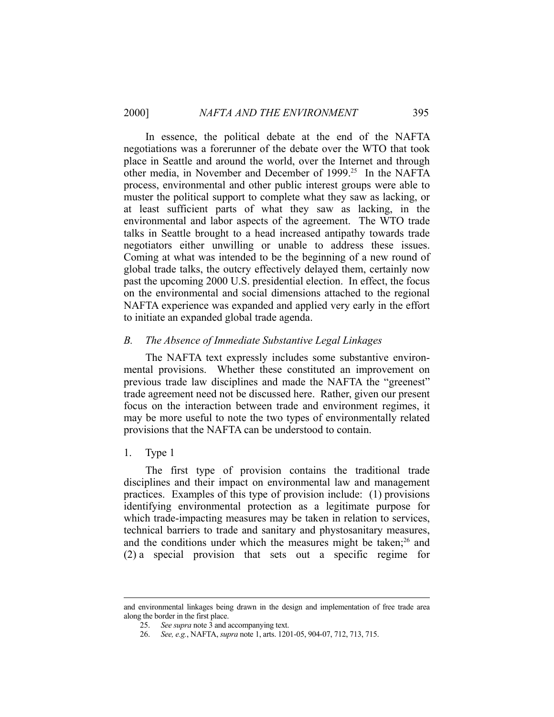In essence, the political debate at the end of the NAFTA negotiations was a forerunner of the debate over the WTO that took place in Seattle and around the world, over the Internet and through other media, in November and December of 1999.25 In the NAFTA process, environmental and other public interest groups were able to muster the political support to complete what they saw as lacking, or at least sufficient parts of what they saw as lacking, in the environmental and labor aspects of the agreement. The WTO trade talks in Seattle brought to a head increased antipathy towards trade negotiators either unwilling or unable to address these issues. Coming at what was intended to be the beginning of a new round of global trade talks, the outcry effectively delayed them, certainly now past the upcoming 2000 U.S. presidential election. In effect, the focus on the environmental and social dimensions attached to the regional NAFTA experience was expanded and applied very early in the effort to initiate an expanded global trade agenda.

## *B. The Absence of Immediate Substantive Legal Linkages*

 The NAFTA text expressly includes some substantive environmental provisions. Whether these constituted an improvement on previous trade law disciplines and made the NAFTA the "greenest" trade agreement need not be discussed here. Rather, given our present focus on the interaction between trade and environment regimes, it may be more useful to note the two types of environmentally related provisions that the NAFTA can be understood to contain.

1. Type 1

 The first type of provision contains the traditional trade disciplines and their impact on environmental law and management practices. Examples of this type of provision include: (1) provisions identifying environmental protection as a legitimate purpose for which trade-impacting measures may be taken in relation to services, technical barriers to trade and sanitary and phystosanitary measures, and the conditions under which the measures might be taken;<sup>26</sup> and (2) a special provision that sets out a specific regime for

and environmental linkages being drawn in the design and implementation of free trade area along the border in the first place.

 <sup>25.</sup> *See supra* note 3 and accompanying text.

 <sup>26.</sup> *See, e.g.*, NAFTA, *supra* note 1, arts. 1201-05, 904-07, 712, 713, 715.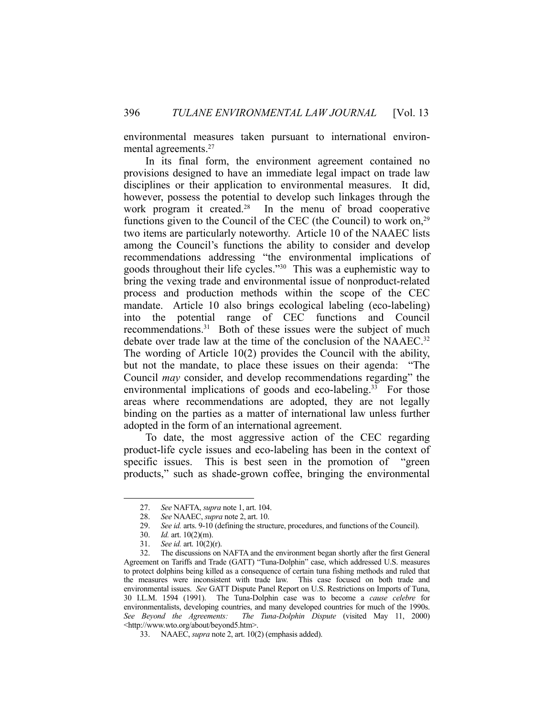environmental measures taken pursuant to international environmental agreements.<sup>27</sup>

 In its final form, the environment agreement contained no provisions designed to have an immediate legal impact on trade law disciplines or their application to environmental measures. It did, however, possess the potential to develop such linkages through the work program it created.<sup>28</sup> In the menu of broad cooperative functions given to the Council of the CEC (the Council) to work on, $^{29}$ two items are particularly noteworthy. Article 10 of the NAAEC lists among the Council's functions the ability to consider and develop recommendations addressing "the environmental implications of goods throughout their life cycles."30 This was a euphemistic way to bring the vexing trade and environmental issue of nonproduct-related process and production methods within the scope of the CEC mandate. Article 10 also brings ecological labeling (eco-labeling) into the potential range of CEC functions and Council recommendations.31 Both of these issues were the subject of much debate over trade law at the time of the conclusion of the NAAEC.<sup>32</sup> The wording of Article 10(2) provides the Council with the ability, but not the mandate, to place these issues on their agenda: "The Council *may* consider, and develop recommendations regarding" the environmental implications of goods and eco-labeling.<sup>33</sup> For those areas where recommendations are adopted, they are not legally binding on the parties as a matter of international law unless further adopted in the form of an international agreement.

 To date, the most aggressive action of the CEC regarding product-life cycle issues and eco-labeling has been in the context of specific issues. This is best seen in the promotion of "green products," such as shade-grown coffee, bringing the environmental

 <sup>27.</sup> *See* NAFTA, *supra* note 1, art. 104.

 <sup>28.</sup> *See* NAAEC, *supra* note 2, art. 10.

 <sup>29.</sup> *See id.* arts. 9-10 (defining the structure, procedures, and functions of the Council).

 <sup>30.</sup> *Id.* art. 10(2)(m).

<sup>31.</sup> *See id.* art.  $10(2)(r)$ .

 <sup>32.</sup> The discussions on NAFTA and the environment began shortly after the first General Agreement on Tariffs and Trade (GATT) "Tuna-Dolphin" case, which addressed U.S. measures to protect dolphins being killed as a consequence of certain tuna fishing methods and ruled that the measures were inconsistent with trade law. This case focused on both trade and environmental issues. *See* GATT Dispute Panel Report on U.S. Restrictions on Imports of Tuna, 30 I.L.M. 1594 (1991). The Tuna-Dolphin case was to become a *cause celebre* for environmentalists, developing countries, and many developed countries for much of the 1990s. *See Beyond the Agreements: The Tuna-Dolphin Dispute* (visited May 11, 2000) <http://www.wto.org/about/beyond5.htm>.

 <sup>33.</sup> NAAEC, *supra* note 2, art. 10(2) (emphasis added).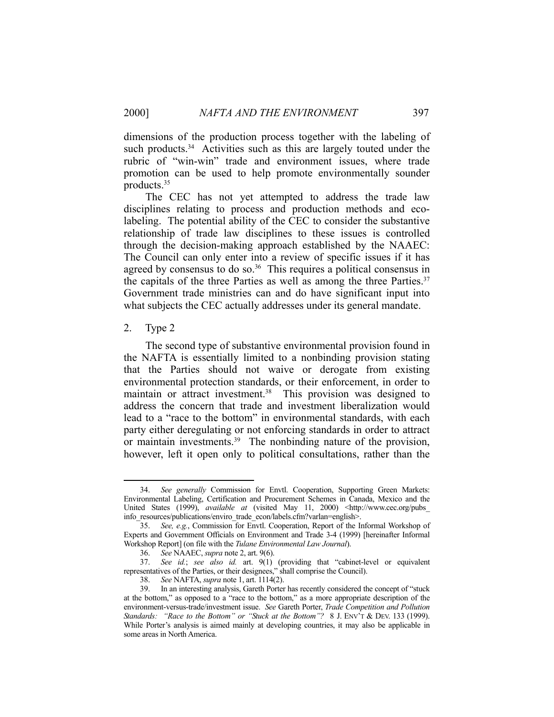dimensions of the production process together with the labeling of such products.<sup>34</sup> Activities such as this are largely touted under the rubric of "win-win" trade and environment issues, where trade promotion can be used to help promote environmentally sounder products.35

 The CEC has not yet attempted to address the trade law disciplines relating to process and production methods and ecolabeling. The potential ability of the CEC to consider the substantive relationship of trade law disciplines to these issues is controlled through the decision-making approach established by the NAAEC: The Council can only enter into a review of specific issues if it has agreed by consensus to do so.<sup>36</sup> This requires a political consensus in the capitals of the three Parties as well as among the three Parties. $37$ Government trade ministries can and do have significant input into what subjects the CEC actually addresses under its general mandate.

## 2. Type 2

1

 The second type of substantive environmental provision found in the NAFTA is essentially limited to a nonbinding provision stating that the Parties should not waive or derogate from existing environmental protection standards, or their enforcement, in order to maintain or attract investment.<sup>38</sup> This provision was designed to address the concern that trade and investment liberalization would lead to a "race to the bottom" in environmental standards, with each party either deregulating or not enforcing standards in order to attract or maintain investments.<sup>39</sup> The nonbinding nature of the provision, however, left it open only to political consultations, rather than the

 <sup>34.</sup> *See generally* Commission for Envtl. Cooperation, Supporting Green Markets: Environmental Labeling, Certification and Procurement Schemes in Canada, Mexico and the United States (1999), *available at* (visited May 11, 2000) <http://www.cec.org/pubs info\_resources/publications/enviro\_trade\_econ/labels.cfm?varlan=english>.

 <sup>35.</sup> *See, e.g.*, Commission for Envtl. Cooperation, Report of the Informal Workshop of Experts and Government Officials on Environment and Trade 3-4 (1999) [hereinafter Informal Workshop Report] (on file with the *Tulane Environmental Law Journal*).

 <sup>36.</sup> *See* NAAEC, *supra* note 2, art. 9(6).

 <sup>37.</sup> *See id.*; *see also id.* art. 9(1) (providing that "cabinet-level or equivalent representatives of the Parties, or their designees," shall comprise the Council).

 <sup>38.</sup> *See* NAFTA, *supra* note 1, art. 1114(2).

 <sup>39.</sup> In an interesting analysis, Gareth Porter has recently considered the concept of "stuck at the bottom," as opposed to a "race to the bottom," as a more appropriate description of the environment-versus-trade/investment issue. *See* Gareth Porter, *Trade Competition and Pollution Standards: "Race to the Bottom" or "Stuck at the Bottom"?* 8 J. ENV'T & DEV. 133 (1999). While Porter's analysis is aimed mainly at developing countries, it may also be applicable in some areas in North America.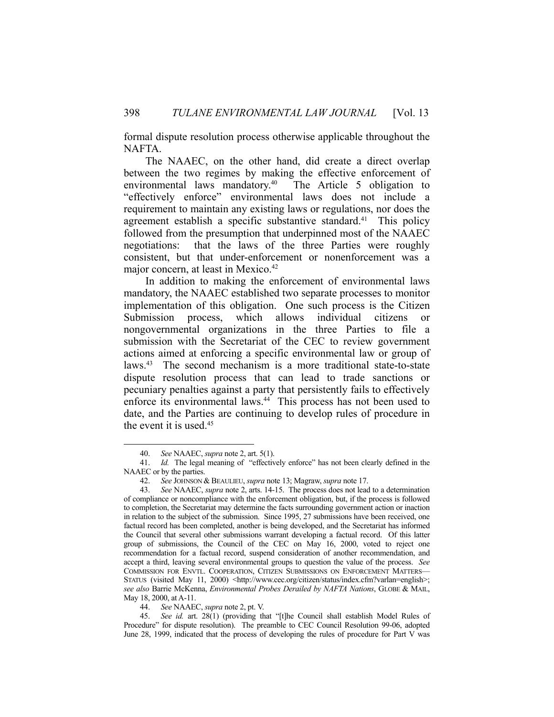formal dispute resolution process otherwise applicable throughout the NAFTA.

 The NAAEC, on the other hand, did create a direct overlap between the two regimes by making the effective enforcement of environmental laws mandatory.<sup>40</sup> The Article 5 obligation to "effectively enforce" environmental laws does not include a requirement to maintain any existing laws or regulations, nor does the agreement establish a specific substantive standard.<sup>41</sup> This policy followed from the presumption that underpinned most of the NAAEC negotiations: that the laws of the three Parties were roughly consistent, but that under-enforcement or nonenforcement was a major concern, at least in Mexico.<sup>42</sup>

 In addition to making the enforcement of environmental laws mandatory, the NAAEC established two separate processes to monitor implementation of this obligation. One such process is the Citizen Submission process, which allows individual citizens or nongovernmental organizations in the three Parties to file a submission with the Secretariat of the CEC to review government actions aimed at enforcing a specific environmental law or group of laws.43 The second mechanism is a more traditional state-to-state dispute resolution process that can lead to trade sanctions or pecuniary penalties against a party that persistently fails to effectively enforce its environmental laws.<sup>44</sup> This process has not been used to date, and the Parties are continuing to develop rules of procedure in the event it is used.45

1

44. *See* NAAEC, *supra* note 2, pt. V.

 45. *See id.* art. 28(1) (providing that "[t]he Council shall establish Model Rules of Procedure" for dispute resolution). The preamble to CEC Council Resolution 99-06, adopted June 28, 1999, indicated that the process of developing the rules of procedure for Part V was

 <sup>40.</sup> *See* NAAEC, *supra* note 2, art. 5(1).

 <sup>41.</sup> *Id.* The legal meaning of "effectively enforce" has not been clearly defined in the NAAEC or by the parties.

 <sup>42.</sup> *See* JOHNSON & BEAULIEU, *supra* note 13; Magraw, *supra* note 17.

 <sup>43.</sup> *See* NAAEC, *supra* note 2, arts. 14-15. The process does not lead to a determination of compliance or noncompliance with the enforcement obligation, but, if the process is followed to completion, the Secretariat may determine the facts surrounding government action or inaction in relation to the subject of the submission. Since 1995, 27 submissions have been received, one factual record has been completed, another is being developed, and the Secretariat has informed the Council that several other submissions warrant developing a factual record. Of this latter group of submissions, the Council of the CEC on May 16, 2000, voted to reject one recommendation for a factual record, suspend consideration of another recommendation, and accept a third, leaving several environmental groups to question the value of the process. *See* COMMISSION FOR ENVTL. COOPERATION, CITIZEN SUBMISSIONS ON ENFORCEMENT MATTERS— STATUS (visited May 11, 2000) <http://www.cec.org/citizen/status/index.cfm?varlan=english>; *see also* Barrie McKenna, *Environmental Probes Derailed by NAFTA Nations*, GLOBE & MAIL, May 18, 2000, at A-11.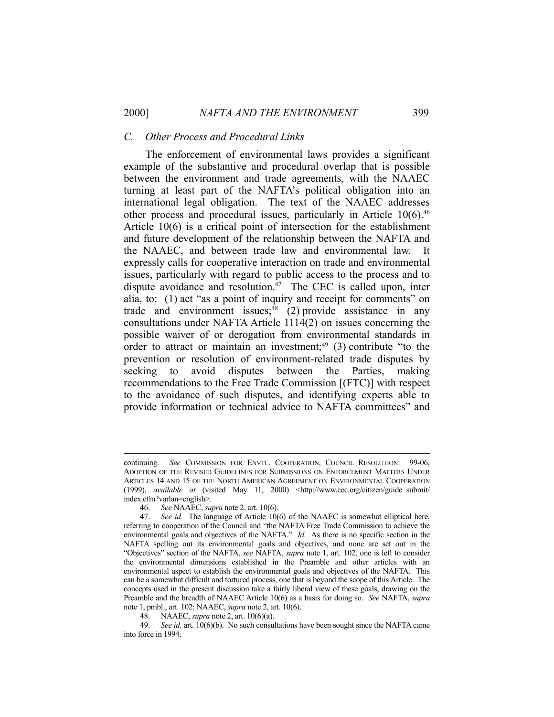## *C. Other Process and Procedural Links*

 The enforcement of environmental laws provides a significant example of the substantive and procedural overlap that is possible between the environment and trade agreements, with the NAAEC turning at least part of the NAFTA's political obligation into an international legal obligation. The text of the NAAEC addresses other process and procedural issues, particularly in Article 10(6).<sup>46</sup> Article 10(6) is a critical point of intersection for the establishment and future development of the relationship between the NAFTA and the NAAEC, and between trade law and environmental law. It expressly calls for cooperative interaction on trade and environmental issues, particularly with regard to public access to the process and to dispute avoidance and resolution. $47$  The CEC is called upon, inter alia, to: (1) act "as a point of inquiry and receipt for comments" on trade and environment issues;<sup>48</sup> (2) provide assistance in any consultations under NAFTA Article 1114(2) on issues concerning the possible waiver of or derogation from environmental standards in order to attract or maintain an investment;<sup>49</sup> (3) contribute "to the prevention or resolution of environment-related trade disputes by seeking to avoid disputes between the Parties, making recommendations to the Free Trade Commission [(FTC)] with respect to the avoidance of such disputes, and identifying experts able to provide information or technical advice to NAFTA committees" and

continuing. *See* COMMISSION FOR ENVTL. COOPERATION, COUNCIL RESOLUTION: 99-06, ADOPTION OF THE REVISED GUIDELINES FOR SUBMISSIONS ON ENFORCEMENT MATTERS UNDER ARTICLES 14 AND 15 OF THE NORTH AMERICAN AGREEMENT ON ENVIRONMENTAL COOPERATION (1999), *available at* (visited May 11, 2000) <http://www.cec.org/citizen/guide\_submit/ index.cfm?varlan=english>.

 <sup>46.</sup> *See* NAAEC, *supra* note 2, art. 10(6).

 <sup>47.</sup> *See id.* The language of Article 10(6) of the NAAEC is somewhat elliptical here, referring to cooperation of the Council and "the NAFTA Free Trade Commission to achieve the environmental goals and objectives of the NAFTA." *Id.* As there is no specific section in the NAFTA spelling out its environmental goals and objectives, and none are set out in the "Objectives" section of the NAFTA, *see* NAFTA, *supra* note 1, art. 102, one is left to consider the environmental dimensions established in the Preamble and other articles with an environmental aspect to establish the environmental goals and objectives of the NAFTA. This can be a somewhat difficult and tortured process, one that is beyond the scope of this Article. The concepts used in the present discussion take a fairly liberal view of these goals, drawing on the Preamble and the breadth of NAAEC Article 10(6) as a basis for doing so. *See* NAFTA, *supra* note 1, pmbl., art. 102; NAAEC, *supra* note 2, art. 10(6).

 <sup>48.</sup> NAAEC, *supra* note 2, art. 10(6)(a).

 <sup>49.</sup> *See id.* art. 10(6)(b). No such consultations have been sought since the NAFTA came into force in 1994.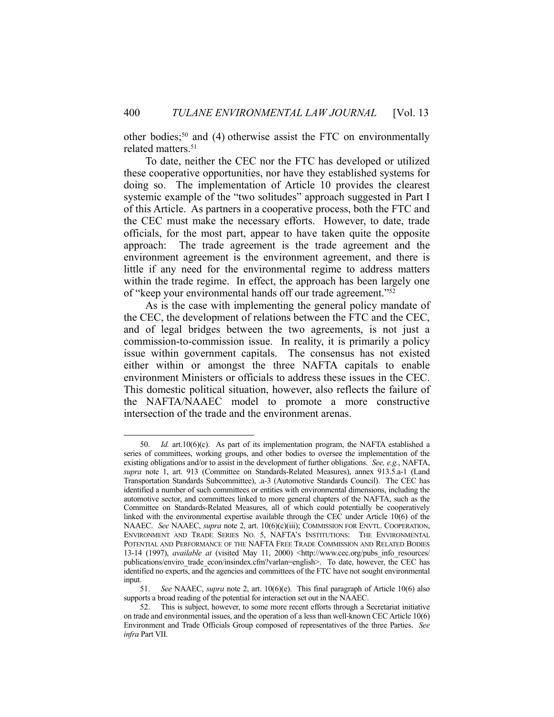other bodies;<sup>50</sup> and (4) otherwise assist the FTC on environmentally related matters.<sup>51</sup>

 To date, neither the CEC nor the FTC has developed or utilized these cooperative opportunities, nor have they established systems for doing so. The implementation of Article 10 provides the clearest systemic example of the "two solitudes" approach suggested in Part I of this Article. As partners in a cooperative process, both the FTC and the CEC must make the necessary efforts. However, to date, trade officials, for the most part, appear to have taken quite the opposite approach: The trade agreement is the trade agreement and the environment agreement is the environment agreement, and there is little if any need for the environmental regime to address matters within the trade regime. In effect, the approach has been largely one of "keep your environmental hands off our trade agreement."52

 As is the case with implementing the general policy mandate of the CEC, the development of relations between the FTC and the CEC, and of legal bridges between the two agreements, is not just a commission-to-commission issue. In reality, it is primarily a policy issue within government capitals. The consensus has not existed either within or amongst the three NAFTA capitals to enable environment Ministers or officials to address these issues in the CEC. This domestic political situation, however, also reflects the failure of the NAFTA/NAAEC model to promote a more constructive intersection of the trade and the environment arenas.

 <sup>50.</sup> *Id.* art.10(6)(c). As part of its implementation program, the NAFTA established a series of committees, working groups, and other bodies to oversee the implementation of the existing obligations and/or to assist in the development of further obligations. *See, e.g.*, NAFTA, *supra* note 1, art. 913 (Committee on Standards-Related Measures), annex 913.5.a-1 (Land Transportation Standards Subcommittee), .a-3 (Automotive Standards Council). The CEC has identified a number of such committees or entities with environmental dimensions, including the automotive sector, and committees linked to more general chapters of the NAFTA, such as the Committee on Standards-Related Measures, all of which could potentially be cooperatively linked with the environmental expertise available through the CEC under Article 10(6) of the NAAEC. *See* NAAEC, *supra* note 2, art. 10(6)(c)(iii); COMMISSION FOR ENVTL. COOPERATION, ENVIRONMENT AND TRADE SERIES NO. 5, NAFTA'S INSTITUTIONS: THE ENVIRONMENTAL POTENTIAL AND PERFORMANCE OF THE NAFTA FREE TRADE COMMISSION AND RELATED BODIES 13-14 (1997), *available at* (visited May 11, 2000) <http://www.cec.org/pubs\_info\_resources/ publications/enviro\_trade\_econ/insindex.cfm?varlan=english>. To date, however, the CEC has identified no experts, and the agencies and committees of the FTC have not sought environmental input.

 <sup>51.</sup> *See* NAAEC, *supra* note 2, art. 10(6)(e). This final paragraph of Article 10(6) also supports a broad reading of the potential for interaction set out in the NAAEC.

 <sup>52.</sup> This is subject, however, to some more recent efforts through a Secretariat initiative on trade and environmental issues, and the operation of a less than well-known CEC Article 10(6) Environment and Trade Officials Group composed of representatives of the three Parties. *See infra* Part VII.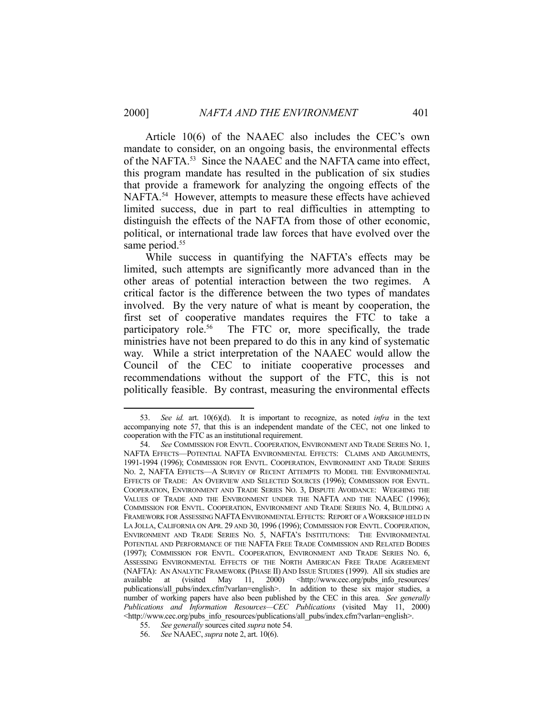<u>.</u>

 Article 10(6) of the NAAEC also includes the CEC's own mandate to consider, on an ongoing basis, the environmental effects of the NAFTA.53 Since the NAAEC and the NAFTA came into effect, this program mandate has resulted in the publication of six studies that provide a framework for analyzing the ongoing effects of the NAFTA.<sup>54</sup> However, attempts to measure these effects have achieved limited success, due in part to real difficulties in attempting to distinguish the effects of the NAFTA from those of other economic, political, or international trade law forces that have evolved over the same period.<sup>55</sup>

 While success in quantifying the NAFTA's effects may be limited, such attempts are significantly more advanced than in the other areas of potential interaction between the two regimes. A critical factor is the difference between the two types of mandates involved. By the very nature of what is meant by cooperation, the first set of cooperative mandates requires the FTC to take a participatory role.<sup>56</sup> The FTC or, more specifically, the trade ministries have not been prepared to do this in any kind of systematic way. While a strict interpretation of the NAAEC would allow the Council of the CEC to initiate cooperative processes and recommendations without the support of the FTC, this is not politically feasible. By contrast, measuring the environmental effects

 <sup>53.</sup> *See id.* art. 10(6)(d). It is important to recognize, as noted *infra* in the text accompanying note 57, that this is an independent mandate of the CEC, not one linked to cooperation with the FTC as an institutional requirement.

 <sup>54.</sup> *See* COMMISSION FOR ENVTL. COOPERATION, ENVIRONMENT AND TRADE SERIES NO. 1, NAFTA EFFECTS—POTENTIAL NAFTA ENVIRONMENTAL EFFECTS: CLAIMS AND ARGUMENTS, 1991-1994 (1996); COMMISSION FOR ENVTL. COOPERATION, ENVIRONMENT AND TRADE SERIES NO. 2, NAFTA EFFECTS—A SURVEY OF RECENT ATTEMPTS TO MODEL THE ENVIRONMENTAL EFFECTS OF TRADE: AN OVERVIEW AND SELECTED SOURCES (1996); COMMISSION FOR ENVTL. COOPERATION, ENVIRONMENT AND TRADE SERIES NO. 3, DISPUTE AVOIDANCE: WEIGHING THE VALUES OF TRADE AND THE ENVIRONMENT UNDER THE NAFTA AND THE NAAEC (1996); COMMISSION FOR ENVTL. COOPERATION, ENVIRONMENT AND TRADE SERIES NO. 4, BUILDING A FRAMEWORK FOR ASSESSING NAFTA ENVIRONMENTAL EFFECTS: REPORT OF A WORKSHOP HELD IN LA JOLLA, CALIFORNIA ON APR. 29 AND 30, 1996 (1996); COMMISSION FOR ENVTL. COOPERATION, ENVIRONMENT AND TRADE SERIES NO. 5, NAFTA'S INSTITUTIONS: THE ENVIRONMENTAL POTENTIAL AND PERFORMANCE OF THE NAFTA FREE TRADE COMMISSION AND RELATED BODIES (1997); COMMISSION FOR ENVTL. COOPERATION, ENVIRONMENT AND TRADE SERIES NO. 6, ASSESSING ENVIRONMENTAL EFFECTS OF THE NORTH AMERICAN FREE TRADE AGREEMENT (NAFTA): AN ANALYTIC FRAMEWORK (PHASE II) AND ISSUE STUDIES (1999). All six studies are available at (visited May 11, 2000) <http://www.cec.org/pubs\_info\_resources/ publications/all\_pubs/index.cfm?varlan=english>. In addition to these six major studies, a number of working papers have also been published by the CEC in this area. *See generally Publications and Information Resources—CEC Publications* (visited May 11, 2000) <http://www.cec.org/pubs\_info\_resources/publications/all\_pubs/index.cfm?varlan=english>.

 <sup>55.</sup> *See generally* sources cited *supra* note 54.

 <sup>56.</sup> *See* NAAEC, *supra* note 2, art. 10(6).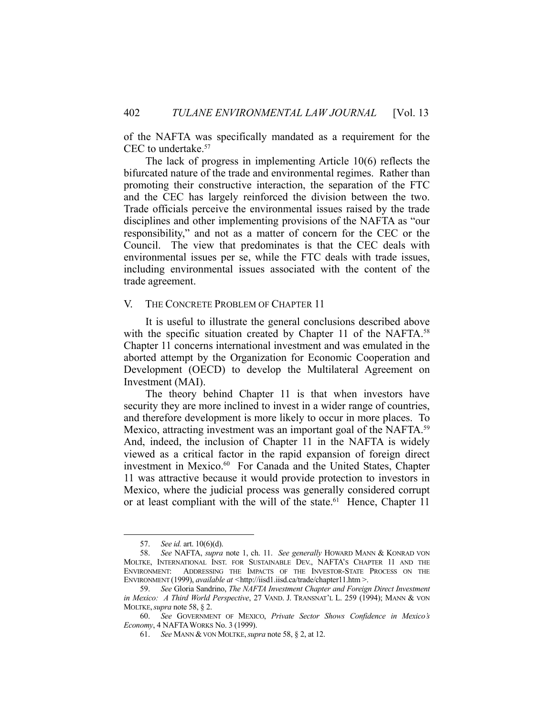of the NAFTA was specifically mandated as a requirement for the CEC to undertake.57

 The lack of progress in implementing Article 10(6) reflects the bifurcated nature of the trade and environmental regimes. Rather than promoting their constructive interaction, the separation of the FTC and the CEC has largely reinforced the division between the two. Trade officials perceive the environmental issues raised by the trade disciplines and other implementing provisions of the NAFTA as "our responsibility," and not as a matter of concern for the CEC or the Council. The view that predominates is that the CEC deals with environmental issues per se, while the FTC deals with trade issues, including environmental issues associated with the content of the trade agreement.

## V. THE CONCRETE PROBLEM OF CHAPTER 11

 It is useful to illustrate the general conclusions described above with the specific situation created by Chapter 11 of the NAFTA.<sup>58</sup> Chapter 11 concerns international investment and was emulated in the aborted attempt by the Organization for Economic Cooperation and Development (OECD) to develop the Multilateral Agreement on Investment (MAI).

 The theory behind Chapter 11 is that when investors have security they are more inclined to invest in a wider range of countries, and therefore development is more likely to occur in more places. To Mexico, attracting investment was an important goal of the NAFTA.<sup>59</sup> And, indeed, the inclusion of Chapter 11 in the NAFTA is widely viewed as a critical factor in the rapid expansion of foreign direct investment in Mexico.<sup>60</sup> For Canada and the United States, Chapter 11 was attractive because it would provide protection to investors in Mexico, where the judicial process was generally considered corrupt or at least compliant with the will of the state.<sup>61</sup> Hence, Chapter 11

<u>.</u>

 <sup>57.</sup> *See id.* art. 10(6)(d).

 <sup>58.</sup> *See* NAFTA, *supra* note 1, ch. 11. *See generally* HOWARD MANN & KONRAD VON MOLTKE, INTERNATIONAL INST. FOR SUSTAINABLE DEV., NAFTA'S CHAPTER 11 AND THE ENVIRONMENT: ADDRESSING THE IMPACTS OF THE INVESTOR-STATE PROCESS ON THE ENVIRONMENT (1999), *available at <*http://iisd1.iisd.ca/trade/chapter11.htm >.

 <sup>59.</sup> *See* Gloria Sandrino, *The NAFTA Investment Chapter and Foreign Direct Investment in Mexico: A Third World Perspective*, 27 VAND. J. TRANSNAT'L L. 259 (1994); MANN & VON MOLTKE,*supra* note 58, § 2.

 <sup>60.</sup> *See* GOVERNMENT OF MEXICO, *Private Sector Shows Confidence in Mexico's Economy*, 4 NAFTAWORKS No. 3 (1999).

 <sup>61.</sup> *See* MANN & VON MOLTKE,*supra* note 58, § 2, at 12.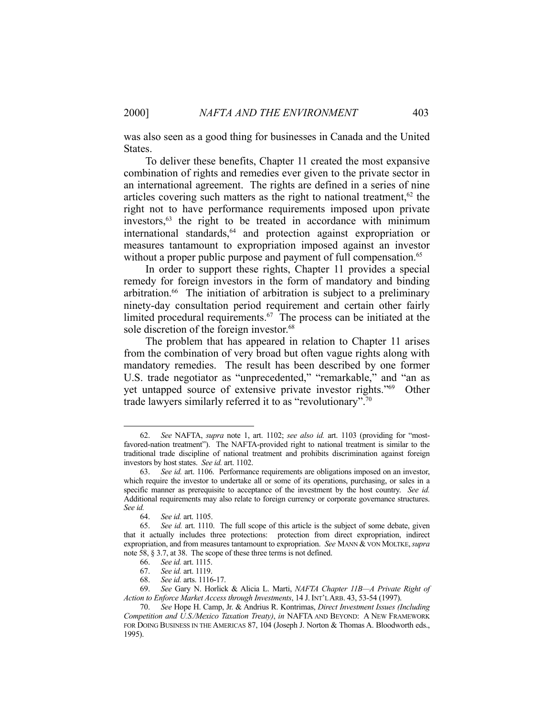was also seen as a good thing for businesses in Canada and the United States.

 To deliver these benefits, Chapter 11 created the most expansive combination of rights and remedies ever given to the private sector in an international agreement. The rights are defined in a series of nine articles covering such matters as the right to national treatment,<sup>62</sup> the right not to have performance requirements imposed upon private investors,<sup>63</sup> the right to be treated in accordance with minimum international standards,<sup>64</sup> and protection against expropriation or measures tantamount to expropriation imposed against an investor without a proper public purpose and payment of full compensation.<sup>65</sup>

 In order to support these rights, Chapter 11 provides a special remedy for foreign investors in the form of mandatory and binding arbitration.<sup>66</sup> The initiation of arbitration is subject to a preliminary ninety-day consultation period requirement and certain other fairly limited procedural requirements.67 The process can be initiated at the sole discretion of the foreign investor.<sup>68</sup>

 The problem that has appeared in relation to Chapter 11 arises from the combination of very broad but often vague rights along with mandatory remedies. The result has been described by one former U.S. trade negotiator as "unprecedented," "remarkable," and "an as yet untapped source of extensive private investor rights."69 Other trade lawyers similarly referred it to as "revolutionary".70

 <sup>62.</sup> *See* NAFTA, *supra* note 1, art. 1102; *see also id.* art. 1103 (providing for "mostfavored-nation treatment"). The NAFTA-provided right to national treatment is similar to the traditional trade discipline of national treatment and prohibits discrimination against foreign investors by host states. *See id.* art. 1102.

 <sup>63.</sup> *See id.* art. 1106. Performance requirements are obligations imposed on an investor, which require the investor to undertake all or some of its operations, purchasing, or sales in a specific manner as prerequisite to acceptance of the investment by the host country. *See id.* Additional requirements may also relate to foreign currency or corporate governance structures. *See id.*

 <sup>64.</sup> *See id.* art. 1105.

 <sup>65.</sup> *See id.* art. 1110. The full scope of this article is the subject of some debate, given that it actually includes three protections: protection from direct expropriation, indirect expropriation, and from measures tantamount to expropriation. *See* MANN & VON MOLTKE,*supra*  note 58, § 3.7, at 38. The scope of these three terms is not defined.

 <sup>66.</sup> *See id.* art. 1115.

 <sup>67.</sup> *See id.* art. 1119.

 <sup>68.</sup> *See id.* arts. 1116-17.

 <sup>69.</sup> *See* Gary N. Horlick & Alicia L. Marti, *NAFTA Chapter 11B—A Private Right of Action to Enforce Market Access through Investments*, 14 J. INT'L ARB. 43, 53-54 (1997).

 <sup>70.</sup> *See* Hope H. Camp, Jr. & Andrius R. Kontrimas, *Direct Investment Issues (Including Competition and U.S./Mexico Taxation Treaty)*, *in* NAFTA AND BEYOND: A NEW FRAMEWORK FOR DOING BUSINESS IN THE AMERICAS 87, 104 (Joseph J. Norton & Thomas A. Bloodworth eds., 1995).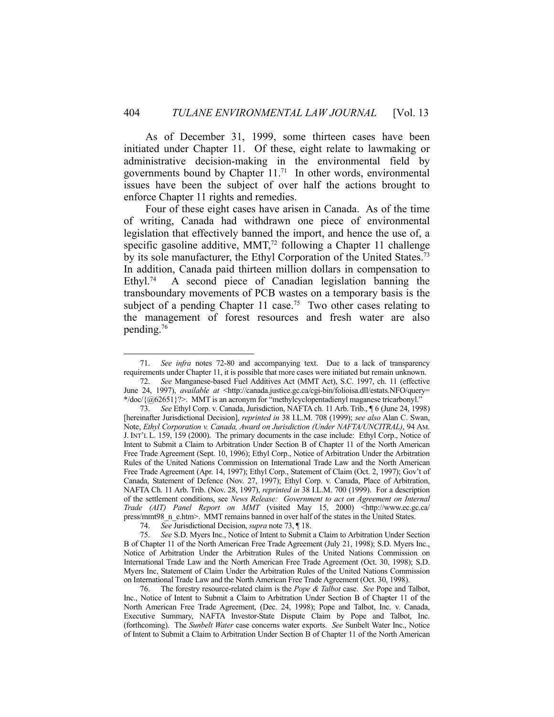As of December 31, 1999, some thirteen cases have been initiated under Chapter 11. Of these, eight relate to lawmaking or administrative decision-making in the environmental field by governments bound by Chapter  $11.^{71}$  In other words, environmental issues have been the subject of over half the actions brought to enforce Chapter 11 rights and remedies.

 Four of these eight cases have arisen in Canada. As of the time of writing, Canada had withdrawn one piece of environmental legislation that effectively banned the import, and hence the use of, a specific gasoline additive,  $MMT<sub>1</sub><sup>72</sup>$  following a Chapter 11 challenge by its sole manufacturer, the Ethyl Corporation of the United States.<sup>73</sup> In addition, Canada paid thirteen million dollars in compensation to Ethyl.<sup>74</sup> A second piece of Canadian legislation banning the transboundary movements of PCB wastes on a temporary basis is the subject of a pending Chapter 11 case.<sup>75</sup> Two other cases relating to the management of forest resources and fresh water are also pending.76

 <sup>71.</sup> *See infra* notes 72-80 and accompanying text. Due to a lack of transparency requirements under Chapter 11, it is possible that more cases were initiated but remain unknown.

 <sup>72.</sup> *See* Manganese-based Fuel Additives Act (MMT Act), S.C. 1997, ch. 11 (effective June 24, 1997), *available at* <http://canada.justice.gc.ca/cgi-bin/folioisa.dll/estats.NFO/query= \*/doc/{@62651}?>. MMT is an acronym for "methylcyclopentadienyl maganese tricarbonyl."

 <sup>73.</sup> *See* Ethyl Corp. v. Canada, Jurisdiction, NAFTA ch. 11 Arb. Trib., ¶ 6 (June 24, 1998) [hereinafter Jurisdictional Decision], *reprinted in* 38 I.L.M. 708 (1999); *see also* Alan C. Swan, Note, *Ethyl Corporation v. Canada, Award on Jurisdiction (Under NAFTA/UNCITRAL)*, 94 AM. J. INT'L L. 159, 159 (2000). The primary documents in the case include: Ethyl Corp., Notice of Intent to Submit a Claim to Arbitration Under Section B of Chapter 11 of the North American Free Trade Agreement (Sept. 10, 1996); Ethyl Corp., Notice of Arbitration Under the Arbitration Rules of the United Nations Commission on International Trade Law and the North American Free Trade Agreement (Apr. 14, 1997); Ethyl Corp., Statement of Claim (Oct. 2, 1997); Gov't of Canada, Statement of Defence (Nov. 27, 1997); Ethyl Corp. v. Canada, Place of Arbitration, NAFTA Ch. 11 Arb. Trib. (Nov. 28, 1997), *reprinted in* 38 I.L.M. 700 (1999). For a description of the settlement conditions, see *News Release: Government to act on Agreement on Internal Trade (AIT) Panel Report on MMT* (visited May 15, 2000) <http://www.ec.gc.ca/ press/mmt98\_n\_e.htm>. MMT remains banned in over half of the states in the United States.

 <sup>74.</sup> *See* Jurisdictional Decision, *supra* note 73, ¶ 18.

 <sup>75.</sup> *See* S.D. Myers Inc., Notice of Intent to Submit a Claim to Arbitration Under Section B of Chapter 11 of the North American Free Trade Agreement (July 21, 1998); S.D. Myers Inc., Notice of Arbitration Under the Arbitration Rules of the United Nations Commission on International Trade Law and the North American Free Trade Agreement (Oct. 30, 1998); S.D. Myers Inc, Statement of Claim Under the Arbitration Rules of the United Nations Commission on International Trade Law and the North American Free Trade Agreement (Oct. 30, 1998).

 <sup>76.</sup> The forestry resource-related claim is the *Pope & Talbot* case. *See* Pope and Talbot, Inc., Notice of Intent to Submit a Claim to Arbitration Under Section B of Chapter 11 of the North American Free Trade Agreement, (Dec. 24, 1998); Pope and Talbot, Inc. v. Canada, Executive Summary, NAFTA Investor-State Dispute Claim by Pope and Talbot, Inc. (forthcoming). The *Sunbelt Water* case concerns water exports. *See* Sunbelt Water Inc., Notice of Intent to Submit a Claim to Arbitration Under Section B of Chapter 11 of the North American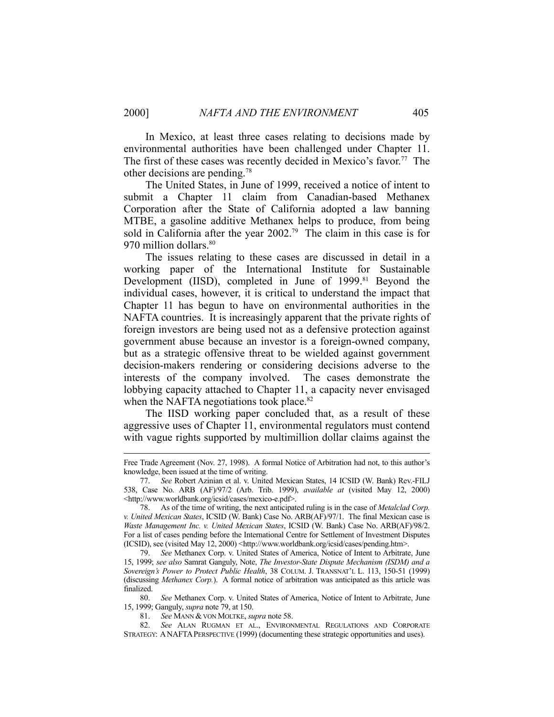In Mexico, at least three cases relating to decisions made by environmental authorities have been challenged under Chapter 11. The first of these cases was recently decided in Mexico's favor. 77 The other decisions are pending.78

 The United States, in June of 1999, received a notice of intent to submit a Chapter 11 claim from Canadian-based Methanex Corporation after the State of California adopted a law banning MTBE, a gasoline additive Methanex helps to produce, from being sold in California after the year  $2002.^{79}$  The claim in this case is for 970 million dollars.<sup>80</sup>

 The issues relating to these cases are discussed in detail in a working paper of the International Institute for Sustainable Development (IISD), completed in June of 1999.<sup>81</sup> Beyond the individual cases, however, it is critical to understand the impact that Chapter 11 has begun to have on environmental authorities in the NAFTA countries. It is increasingly apparent that the private rights of foreign investors are being used not as a defensive protection against government abuse because an investor is a foreign-owned company, but as a strategic offensive threat to be wielded against government decision-makers rendering or considering decisions adverse to the interests of the company involved. The cases demonstrate the lobbying capacity attached to Chapter 11, a capacity never envisaged when the NAFTA negotiations took place.<sup>82</sup>

 The IISD working paper concluded that, as a result of these aggressive uses of Chapter 11, environmental regulators must contend with vague rights supported by multimillion dollar claims against the

 80. *See* Methanex Corp. v. United States of America, Notice of Intent to Arbitrate, June 15, 1999; Ganguly, *supra* note 79, at 150.

81. *See* MANN & VON MOLTKE, *supra* note 58.

Free Trade Agreement (Nov. 27, 1998). A formal Notice of Arbitration had not, to this author's knowledge, been issued at the time of writing.

 <sup>77.</sup> *See* Robert Azinian et al. v. United Mexican States, 14 ICSID (W. Bank) Rev.-FILJ 538, Case No. ARB (AF)/97/2 (Arb. Trib. 1999), *available at* (visited May 12, 2000) <http://www.worldbank.org/icsid/cases/mexico-e.pdf>.

 <sup>78.</sup> As of the time of writing, the next anticipated ruling is in the case of *Metalclad Corp. v. United Mexican States*, ICSID (W. Bank) Case No. ARB(AF)/97/1. The final Mexican case is *Waste Management Inc. v. United Mexican States*, ICSID (W. Bank) Case No. ARB(AF)/98/2. For a list of cases pending before the International Centre for Settlement of Investment Disputes (ICSID), see (visited May 12, 2000) <http://www.worldbank.org/icsid/cases/pending.htm>.

 <sup>79.</sup> *See* Methanex Corp. v. United States of America, Notice of Intent to Arbitrate, June 15, 1999; *see also* Samrat Ganguly, Note, *The Investor-State Dispute Mechanism (ISDM) and a Sovereign's Power to Protect Public Health*, 38 COLUM. J. TRANSNAT'L L. 113, 150-51 (1999) (discussing *Methanex Corp.*). A formal notice of arbitration was anticipated as this article was finalized.

 <sup>82.</sup> *See* ALAN RUGMAN ET AL., ENVIRONMENTAL REGULATIONS AND CORPORATE STRATEGY: ANAFTAPERSPECTIVE (1999) (documenting these strategic opportunities and uses).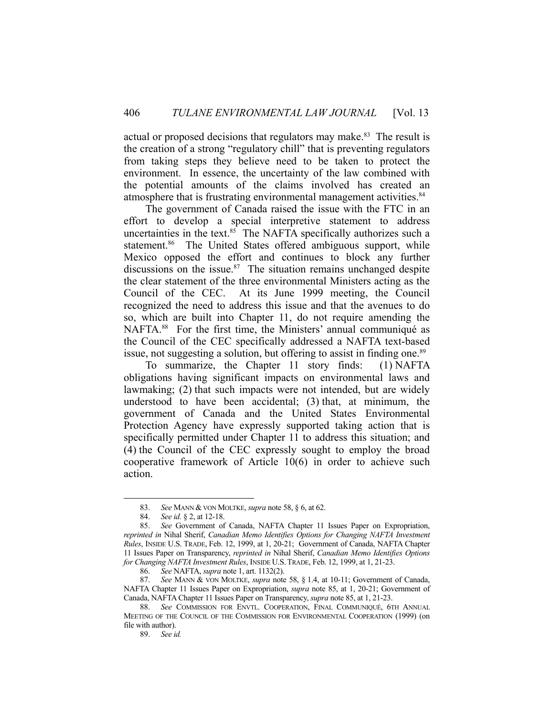actual or proposed decisions that regulators may make.<sup>83</sup> The result is the creation of a strong "regulatory chill" that is preventing regulators from taking steps they believe need to be taken to protect the environment. In essence, the uncertainty of the law combined with the potential amounts of the claims involved has created an atmosphere that is frustrating environmental management activities.<sup>84</sup>

 The government of Canada raised the issue with the FTC in an effort to develop a special interpretive statement to address uncertainties in the text. $85$  The NAFTA specifically authorizes such a statement.<sup>86</sup> The United States offered ambiguous support, while Mexico opposed the effort and continues to block any further discussions on the issue. $87$  The situation remains unchanged despite the clear statement of the three environmental Ministers acting as the Council of the CEC. At its June 1999 meeting, the Council recognized the need to address this issue and that the avenues to do so, which are built into Chapter 11, do not require amending the NAFTA.<sup>88</sup> For the first time, the Ministers' annual communiqué as the Council of the CEC specifically addressed a NAFTA text-based issue, not suggesting a solution, but offering to assist in finding one.<sup>89</sup>

 To summarize, the Chapter 11 story finds: (1) NAFTA obligations having significant impacts on environmental laws and lawmaking; (2) that such impacts were not intended, but are widely understood to have been accidental; (3) that, at minimum, the government of Canada and the United States Environmental Protection Agency have expressly supported taking action that is specifically permitted under Chapter 11 to address this situation; and (4) the Council of the CEC expressly sought to employ the broad cooperative framework of Article 10(6) in order to achieve such action.

1

89. *See id.*

 <sup>83.</sup> *See* MANN & VON MOLTKE, *supra* note 58, § 6, at 62.

 <sup>84.</sup> *See id.* § 2, at 12-18.

 <sup>85.</sup> *See* Government of Canada, NAFTA Chapter 11 Issues Paper on Expropriation, *reprinted in* Nihal Sherif, *Canadian Memo Identifies Options for Changing NAFTA Investment Rules*, INSIDE U.S. TRADE, Feb. 12, 1999, at 1, 20-21; Government of Canada, NAFTA Chapter 11 Issues Paper on Transparency, *reprinted in* Nihal Sherif, *Canadian Memo Identifies Options for Changing NAFTA Investment Rules*, INSIDE U.S.TRADE, Feb. 12, 1999, at 1, 21-23.

 <sup>86.</sup> *See* NAFTA, *supra* note 1, art. 1132(2).

 <sup>87.</sup> *See* MANN & VON MOLTKE, *supra* note 58, § 1.4, at 10-11; Government of Canada, NAFTA Chapter 11 Issues Paper on Expropriation, *supra* note 85, at 1, 20-21; Government of Canada, NAFTA Chapter 11 Issues Paper on Transparency, *supra* note 85, at 1, 21-23.

 <sup>88.</sup> *See* COMMISSION FOR ENVTL. COOPERATION, FINAL COMMUNIQUÉ, 6TH ANNUAL MEETING OF THE COUNCIL OF THE COMMISSION FOR ENVIRONMENTAL COOPERATION (1999) (on file with author).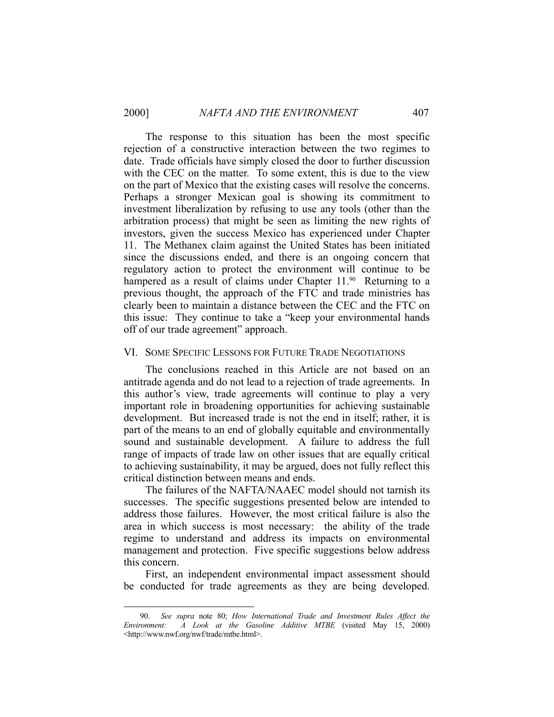1

 The response to this situation has been the most specific rejection of a constructive interaction between the two regimes to date. Trade officials have simply closed the door to further discussion with the CEC on the matter. To some extent, this is due to the view on the part of Mexico that the existing cases will resolve the concerns. Perhaps a stronger Mexican goal is showing its commitment to investment liberalization by refusing to use any tools (other than the arbitration process) that might be seen as limiting the new rights of investors, given the success Mexico has experienced under Chapter 11. The Methanex claim against the United States has been initiated since the discussions ended, and there is an ongoing concern that regulatory action to protect the environment will continue to be hampered as a result of claims under Chapter 11.<sup>90</sup> Returning to a previous thought, the approach of the FTC and trade ministries has clearly been to maintain a distance between the CEC and the FTC on this issue: They continue to take a "keep your environmental hands off of our trade agreement" approach.

#### VI. SOME SPECIFIC LESSONS FOR FUTURE TRADE NEGOTIATIONS

 The conclusions reached in this Article are not based on an antitrade agenda and do not lead to a rejection of trade agreements. In this author's view, trade agreements will continue to play a very important role in broadening opportunities for achieving sustainable development. But increased trade is not the end in itself; rather, it is part of the means to an end of globally equitable and environmentally sound and sustainable development. A failure to address the full range of impacts of trade law on other issues that are equally critical to achieving sustainability, it may be argued, does not fully reflect this critical distinction between means and ends.

 The failures of the NAFTA/NAAEC model should not tarnish its successes. The specific suggestions presented below are intended to address those failures. However, the most critical failure is also the area in which success is most necessary: the ability of the trade regime to understand and address its impacts on environmental management and protection. Five specific suggestions below address this concern.

 First, an independent environmental impact assessment should be conducted for trade agreements as they are being developed.

 <sup>90.</sup> *See supra* note 80; *How International Trade and Investment Rules Affect the Environment: A Look at the Gasoline Additive MTBE* (visited May 15, 2000) <http://www.nwf.org/nwf/trade/mtbe.html>.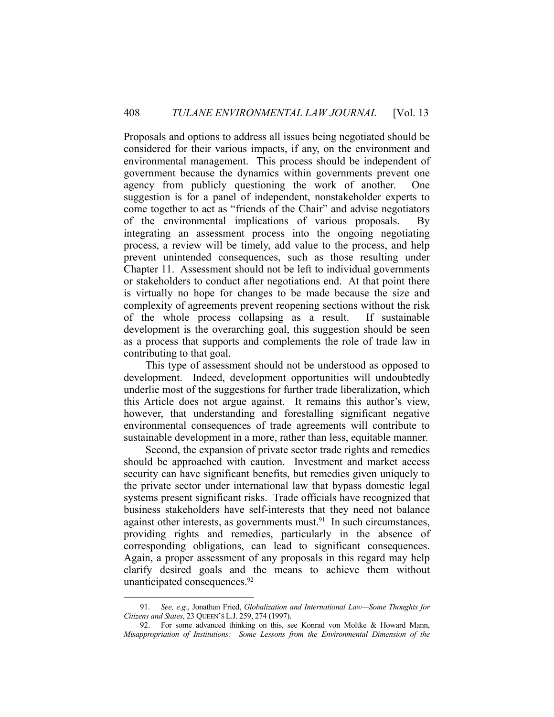Proposals and options to address all issues being negotiated should be considered for their various impacts, if any, on the environment and environmental management. This process should be independent of government because the dynamics within governments prevent one agency from publicly questioning the work of another. One suggestion is for a panel of independent, nonstakeholder experts to come together to act as "friends of the Chair" and advise negotiators of the environmental implications of various proposals. By integrating an assessment process into the ongoing negotiating process, a review will be timely, add value to the process, and help prevent unintended consequences, such as those resulting under Chapter 11. Assessment should not be left to individual governments or stakeholders to conduct after negotiations end. At that point there is virtually no hope for changes to be made because the size and complexity of agreements prevent reopening sections without the risk of the whole process collapsing as a result. If sustainable development is the overarching goal, this suggestion should be seen as a process that supports and complements the role of trade law in contributing to that goal.

 This type of assessment should not be understood as opposed to development. Indeed, development opportunities will undoubtedly underlie most of the suggestions for further trade liberalization, which this Article does not argue against. It remains this author's view, however, that understanding and forestalling significant negative environmental consequences of trade agreements will contribute to sustainable development in a more, rather than less, equitable manner.

 Second, the expansion of private sector trade rights and remedies should be approached with caution. Investment and market access security can have significant benefits, but remedies given uniquely to the private sector under international law that bypass domestic legal systems present significant risks. Trade officials have recognized that business stakeholders have self-interests that they need not balance against other interests, as governments must. $91$  In such circumstances, providing rights and remedies, particularly in the absence of corresponding obligations, can lead to significant consequences. Again, a proper assessment of any proposals in this regard may help clarify desired goals and the means to achieve them without unanticipated consequences.<sup>92</sup>

<u>.</u>

 <sup>91.</sup> *See, e.g.*, Jonathan Fried, *Globalization and International Law—Some Thoughts for Citizens and States*, 23 QUEEN'S L.J. 259, 274 (1997).

 <sup>92.</sup> For some advanced thinking on this, see Konrad von Moltke & Howard Mann, *Misappropriation of Institutions: Some Lessons from the Environmental Dimension of the*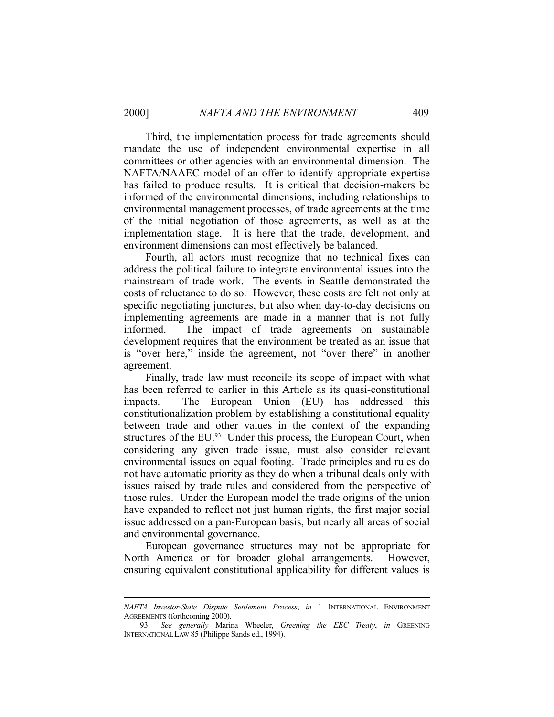<u>.</u>

 Third, the implementation process for trade agreements should mandate the use of independent environmental expertise in all committees or other agencies with an environmental dimension. The NAFTA/NAAEC model of an offer to identify appropriate expertise has failed to produce results. It is critical that decision-makers be informed of the environmental dimensions, including relationships to environmental management processes, of trade agreements at the time of the initial negotiation of those agreements, as well as at the implementation stage. It is here that the trade, development, and environment dimensions can most effectively be balanced.

 Fourth, all actors must recognize that no technical fixes can address the political failure to integrate environmental issues into the mainstream of trade work. The events in Seattle demonstrated the costs of reluctance to do so. However, these costs are felt not only at specific negotiating junctures, but also when day-to-day decisions on implementing agreements are made in a manner that is not fully informed. The impact of trade agreements on sustainable development requires that the environment be treated as an issue that is "over here," inside the agreement, not "over there" in another agreement.

 Finally, trade law must reconcile its scope of impact with what has been referred to earlier in this Article as its quasi-constitutional impacts. The European Union (EU) has addressed this constitutionalization problem by establishing a constitutional equality between trade and other values in the context of the expanding structures of the EU.<sup>93</sup> Under this process, the European Court, when considering any given trade issue, must also consider relevant environmental issues on equal footing. Trade principles and rules do not have automatic priority as they do when a tribunal deals only with issues raised by trade rules and considered from the perspective of those rules. Under the European model the trade origins of the union have expanded to reflect not just human rights, the first major social issue addressed on a pan-European basis, but nearly all areas of social and environmental governance.

 European governance structures may not be appropriate for North America or for broader global arrangements. However, ensuring equivalent constitutional applicability for different values is

*NAFTA Investor-State Dispute Settlement Process*, *in* 1 INTERNATIONAL ENVIRONMENT AGREEMENTS (forthcoming 2000).

 <sup>93.</sup> *See generally* Marina Wheeler, *Greening the EEC Treaty*, *in* GREENING INTERNATIONAL LAW 85 (Philippe Sands ed., 1994).